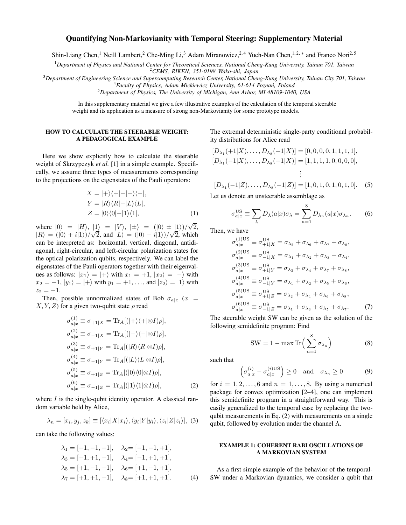# Quantifying Non-Markovianity with Temporal Steering: Supplementary Material

Shin-Liang Chen,<sup>1</sup> Neill Lambert,<sup>2</sup> Che-Ming Li,<sup>3</sup> Adam Miranowicz,<sup>2,4</sup> Yueh-Nan Chen,<sup>1,2,\*</sup> and Franco Nori<sup>2,5</sup>

<sup>1</sup>*Department of Physics and National Center for Theoretical Sciences, National Cheng-Kung University, Tainan 701, Taiwan* <sup>2</sup>*CEMS, RIKEN, 351-0198 Wako-shi, Japan*

<sup>3</sup>*Department of Engineering Science and Supercomputing Research Center, National Cheng-Kung University, Tainan City 701, Taiwan* <sup>4</sup>*Faculty of Physics, Adam Mickiewicz University, 61-614 Poznan, Poland ´*

<sup>5</sup>*Department of Physics, The University of Michigan, Ann Arbor, MI 48109-1040, USA*

In this supplementary material we give a few illustrative examples of the calculation of the temporal steerable weight and its application as a measure of strong non-Markovianity for some prototype models.

## HOW TO CALCULATE THE STEERABLE WEIGHT: A PEDAGOGICAL EXAMPLE

Here we show explicitly how to calculate the steerable weight of Skrzypczyk *et al.* [1] in a simple example. Specifically, we assume three types of measurements corresponding to the projections on the eigenstates of the Pauli operators:

$$
X = |+\rangle\langle+| - |-\rangle\langle-|,
$$
  
\n
$$
Y = |R\rangle\langle R| - |L\rangle\langle L|,
$$
  
\n
$$
Z = |0\rangle\langle0| - |1\rangle\langle1|,
$$
\n(1)

where  $|0\rangle = |H\rangle, |1\rangle = |V\rangle, |\pm\rangle = (|0\rangle \pm |1\rangle)/$ √  $|1\rangle = |V\rangle, |\pm\rangle = (|0\rangle \pm |1\rangle)/\sqrt{2}$  $|R\rangle = (|0\rangle + i|1\rangle)/\sqrt{2}$ , and  $|L\rangle = (|0\rangle - i|1\rangle)/\sqrt{2}$ , which can be interpreted as: horizontal, vertical, diagonal, antidiagonal, right-circular, and left-circular polarization states for the optical polarization qubits, respectively. We can label the eigenstates of the Pauli operators together with their eigenvalues as follows:  $|x_1\rangle = |+\rangle$  with  $x_1 = +1, |x_2\rangle = |-\rangle$  with  $x_2 = -1$ ,  $|y_1\rangle = |+\rangle$  with  $y_1 = +1$ , ..., and  $|z_2\rangle = |1\rangle$  with  $z_2 = -1.$ 

Then, possible unnormalized states of Bob  $\sigma_{a|x}$  (x =  $X, Y, Z$ ) for a given two-qubit state  $\rho$  read

$$
\sigma_{a|x}^{(1)} \equiv \sigma_{+1|X} = \text{Tr}_A[(|+\rangle\langle+|\otimes I)\rho],\n\sigma_{a|x}^{(2)} \equiv \sigma_{-1|X} = \text{Tr}_A[ (|-\rangle\langle-|\otimes I)\rho],\n\sigma_{a|x}^{(3)} \equiv \sigma_{+1|Y} = \text{Tr}_A[(|R\rangle\langle R|\otimes I)\rho],\n\sigma_{a|x}^{(4)} \equiv \sigma_{-1|Y} = \text{Tr}_A[(|L\rangle\langle L|\otimes I)\rho],\n\sigma_{a|x}^{(5)} \equiv \sigma_{+1|Z} = \text{Tr}_A[(|0\rangle\langle 0|\otimes I)\rho],\n\sigma_{a|x}^{(6)} \equiv \sigma_{-1|Z} = \text{Tr}_A[(|1\rangle\langle 1|\otimes I)\rho],
$$
\n(2)

where  $I$  is the single-qubit identity operator. A classical random variable held by Alice,

$$
\lambda_n = [x_i, y_j, z_k] \equiv [\langle x_i | X | x_i \rangle, \langle y_i | Y | y_i \rangle, \langle z_i | Z | z_i \rangle],
$$
 (3)

can take the following values:

$$
\lambda_1 = [-1, -1, -1], \quad \lambda_2 = [-1, -1, +1],
$$
  
\n
$$
\lambda_3 = [-1, +1, -1], \quad \lambda_4 = [-1, +1, +1],
$$
  
\n
$$
\lambda_5 = [+1, -1, -1], \quad \lambda_6 = [+1, -1, +1],
$$
  
\n
$$
\lambda_7 = [+1, +1, -1], \quad \lambda_8 = [+1, +1, +1].
$$
 (4)

The extremal deterministic single-party conditional probability distributions for Alice read

$$
[D_{\lambda_1}(+1|X),...,D_{\lambda_8}(+1|X)] = [0,0,0,0,1,1,1,1],
$$
  
\n
$$
[D_{\lambda_1}(-1|X),...,D_{\lambda_8}(-1|X)] = [1,1,1,1,0,0,0,0],
$$
  
\n
$$
\vdots
$$

$$
[D_{\lambda_1}(-1|Z),\ldots,D_{\lambda_8}(-1|Z)] = [1,0,1,0,1,0,1,0].
$$
 (5)

Let us denote an unsteerable assemblage as

$$
\sigma_{a|x}^{\text{US}} \equiv \sum_{\lambda} D_{\lambda}(a|x)\sigma_{\lambda} = \sum_{n=1}^{8} D_{\lambda_n}(a|x)\sigma_{\lambda_n}.
$$
 (6)

Then, we have

$$
\sigma_{a|x}^{(1) \text{US}} \equiv \sigma_{+1|X}^{\text{US}} = \sigma_{\lambda_5} + \sigma_{\lambda_6} + \sigma_{\lambda_7} + \sigma_{\lambda_8},
$$
\n
$$
\sigma_{a|x}^{(2) \text{US}} \equiv \sigma_{-1|x}^{\text{US}} = \sigma_{\lambda_1} + \sigma_{\lambda_2} + \sigma_{\lambda_3} + \sigma_{\lambda_4},
$$
\n
$$
\sigma_{a|x}^{(3) \text{US}} \equiv \sigma_{+1|Y}^{\text{US}} = \sigma_{\lambda_3} + \sigma_{\lambda_4} + \sigma_{\lambda_7} + \sigma_{\lambda_8},
$$
\n
$$
\sigma_{a|x}^{(4) \text{US}} \equiv \sigma_{-1|Y}^{\text{US}} = \sigma_{\lambda_1} + \sigma_{\lambda_2} + \sigma_{\lambda_5} + \sigma_{\lambda_6},
$$
\n
$$
\sigma_{a|x}^{(5) \text{US}} \equiv \sigma_{+1|Z}^{\text{US}} = \sigma_{\lambda_2} + \sigma_{\lambda_4} + \sigma_{\lambda_6} + \sigma_{\lambda_8},
$$
\n
$$
\sigma_{a|x}^{(6) \text{US}} \equiv \sigma_{-1|Z}^{\text{US}} = \sigma_{\lambda_1} + \sigma_{\lambda_3} + \sigma_{\lambda_5} + \sigma_{\lambda_7}.
$$
\n(7)

The steerable weight SW can be given as the solution of the following semidefinite program: Find

$$
SW = 1 - \max \text{Tr}\left(\sum_{n=1}^{8} \sigma_{\lambda_n}\right) \tag{8}
$$

such that

$$
\left(\sigma_{a|x}^{(i)} - \sigma_{a|x}^{(i) \text{US}}\right) \ge 0 \quad \text{and} \quad \sigma_{\lambda_n} \ge 0 \tag{9}
$$

for  $i = 1, 2, \ldots, 6$  and  $n = 1, \ldots, 8$ . By using a numerical package for convex optimization [2–4], one can implement this semidefinite program in a straightforward way. This is easily generalized to the temporal case by replacing the twoqubit measurements in Eq. (2) with measurements on a single qubit, followed by evolution under the channel  $\Lambda$ .

### EXAMPLE 1: COHERENT RABI OSCILLATIONS OF A MARKOVIAN SYSTEM

As a first simple example of the behavior of the temporal-SW under a Markovian dynamics, we consider a qubit that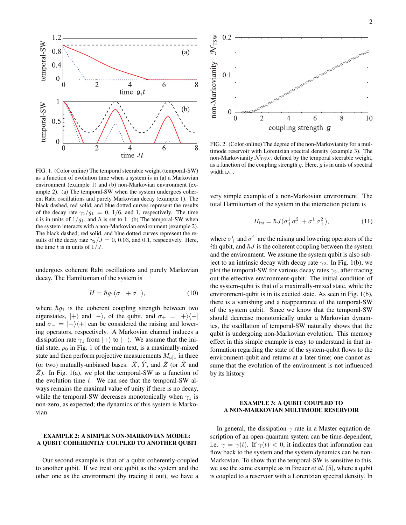

FIG. 1. (Color online) The temporal steerable weight (temporal-SW) as a function of evolution time when a system is in (a) a Markovian environment (example 1) and (b) non-Markovian environment (example 2). (a) The temporal-SW when the system undergoes coherent Rabi oscillations and purely Markovian decay (example 1). The black dashed, red solid, and blue dotted curves represent the results of the decay rate  $\gamma_1/g_1 = 0$ , 1/6, and 1, respectively. The time t is in units of  $1/q_1$ , and  $\hbar$  is set to 1. (b) The temporal-SW when the system interacts with a non-Markovian environment (example 2). The black dashed, red solid, and blue dotted curves represent the results of the decay rate  $\gamma_2/J = 0, 0.03,$  and 0.1, respectively. Here, the time t is in units of  $1/J$ .

undergoes coherent Rabi oscillations and purely Markovian decay. The Hamiltonian of the system is

$$
H = \hbar g_1(\sigma_+ + \sigma_-),\tag{10}
$$

where  $\hbar g_1$  is the coherent coupling strength between two eigenstates,  $|+\rangle$  and  $|-\rangle$ , of the qubit, and  $\sigma_{+} = |+\rangle\langle-|$ and  $\sigma_- = |-\rangle\langle +|$  can be considered the raising and lowering operators, respectively. A Markovian channel induces a dissipation rate  $\gamma_1$  from  $|+\rangle$  to  $|-\rangle$ . We assume that the initial state,  $\rho_0$  in Fig. 1 of the main text, is a maximally-mixed state and then perform projective measurements  $M_{a|x}$  in three (or two) mutually-unbiased bases:  $\hat{X}$ ,  $\hat{Y}$ , and  $\hat{Z}$  (or  $\hat{X}$  and  $\hat{Z}$ ). In Fig. 1(a), we plot the temporal-SW as a function of the evolution time  $t$ . We can see that the temporal-SW always remains the maximal value of unity if there is no decay, while the temporal-SW decreases monotonically when  $\gamma_1$  is non-zero, as expected; the dynamics of this system is Markovian.

#### EXAMPLE 2: A SIMPLE NON-MARKOVIAN MODEL: A QUBIT COHERENTLY COUPLED TO ANOTHER QUBIT

Our second example is that of a qubit coherently-coupled to another qubit. If we treat one qubit as the system and the other one as the environment (by tracing it out), we have a



FIG. 2. (Color online) The degree of the non-Markovianity for a multimode reservoir with Lorentzian spectral density (example 3). The non-Markovianity  $N_{\text{TSW}}$ , defined by the temporal steerable weight, as a function of the coupling strength  $g$ . Here,  $g$  is in units of spectral width  $\omega_w$ .

very simple example of a non-Markovian environment. The total Hamiltonian of the system in the interaction picture is

$$
H_{\rm int} = \hbar J (\sigma_+^1 \sigma_-^2 + \sigma_-^1 \sigma_+^2), \tag{11}
$$

where  $\sigma^i_+$  and  $\sigma^i_-$  are the raising and lowering operators of the *i*th qubit, and  $\hbar J$  is the coherent coupling between the system and the environment. We assume the system qubit is also subject to an intrinsic decay with decay rate  $\gamma_2$ . In Fig. 1(b), we plot the temporal-SW for various decay rates  $\gamma_2$ , after tracing out the effective environment-qubit. The initial condition of the system-qubit is that of a maximally-mixed state, while the environment-qubit is in its excited state. As seen in Fig. 1(b), there is a vanishing and a reappearance of the temporal-SW of the system qubit. Since we know that the temporal-SW should decrease monotonically under a Markovian dynamics, the oscillation of temporal-SW naturally shows that the qubit is undergoing non-Markovian evolution. This memory effect in this simple example is easy to understand in that information regarding the state of the system-qubit flows to the environment-qubit and returns at a later time; one cannot assume that the evolution of the environment is not influenced by its history.

### EXAMPLE 3: A QUBIT COUPLED TO A NON-MARKOVIAN MULTIMODE RESERVOIR

In general, the dissipation  $\gamma$  rate in a Master equation description of an open-quantum system can be time-dependent, i.e.  $\gamma = \gamma(t)$ . If  $\gamma(t) < 0$ , it indicates that information can flow back to the system and the system dynamics can be non-Markovian. To show that the temporal-SW is sensitive to this, we use the same example as in Breuer *et al.* [5], where a qubit is coupled to a reservoir with a Lorentzian spectral density. In